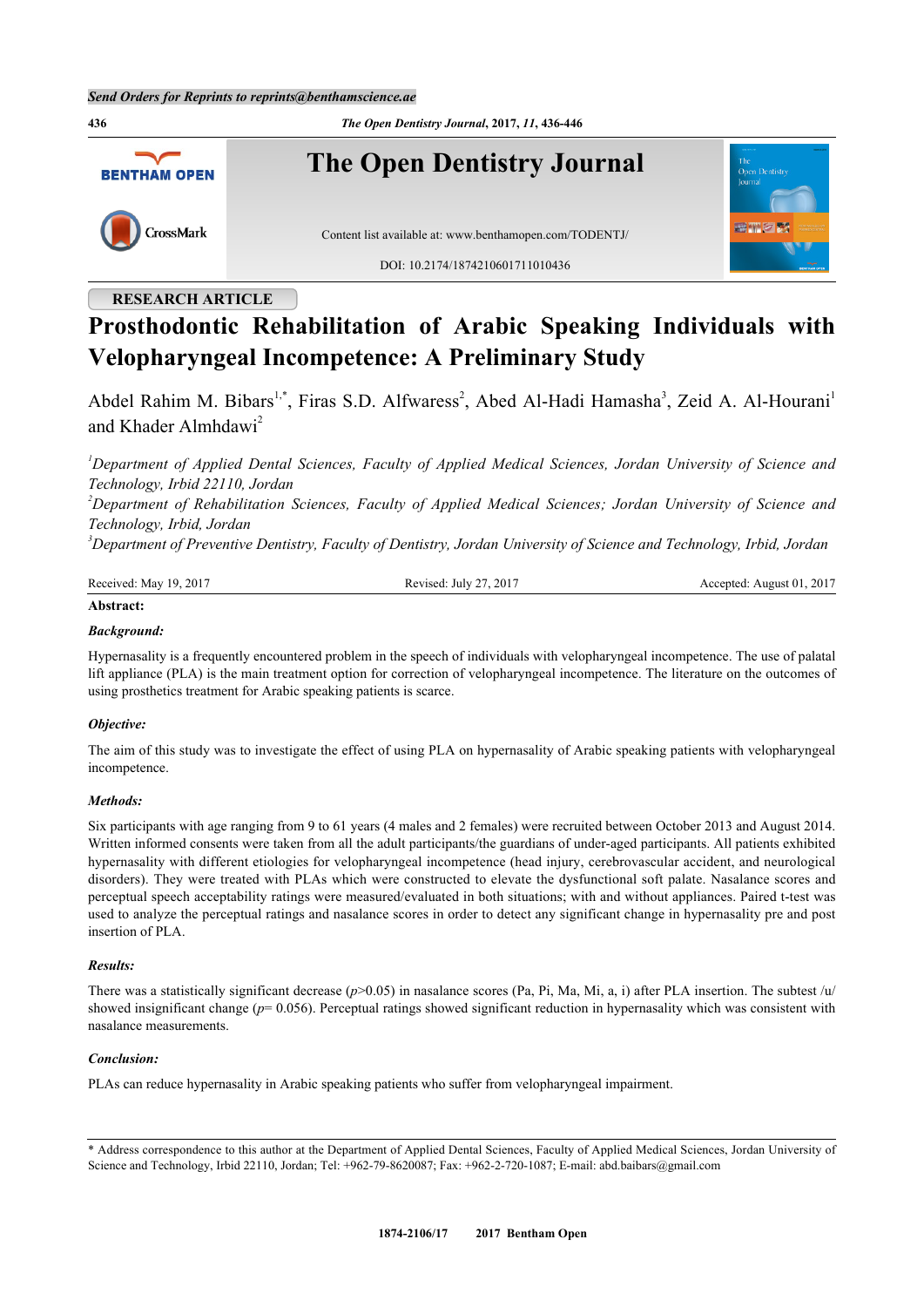**436** *The Open Dentistry Journal***, 2017,** *11***, 436-446 The Open Dentistry Journal BENTHAM OPEN** CrossMark Content list available at: [www.benthamopen.com/TODENTJ/](http://www.benthamopen.com/TODENTJ/) DOI: [10.2174/1874210601711010436](http://dx.doi.org/10.2174/1874210601711010436)

## **RESEARCH ARTICLE**

# **Prosthodontic Rehabilitation of Arabic Speaking Individuals with Velopharyngeal Incompetence: A Preliminary Study**

Abdel Rahim M. Bibars<sup>[1](#page-0-0),[\\*](#page-0-1)</sup>, Firas S.D. Alfwaress<sup>[2](#page-0-2)</sup>, Abed Al-Hadi Hamasha<sup>[3](#page-0-3)</sup>, Zeid A. Al-Hourani<sup>1</sup> and Khader Almhdawi<sup>[2](#page-0-2)</sup>

<span id="page-0-0"></span>*<sup>1</sup>Department of Applied Dental Sciences, Faculty of Applied Medical Sciences, Jordan University of Science and Technology, Irbid 22110, Jordan*

<span id="page-0-2"></span>*<sup>2</sup>Department of Rehabilitation Sciences, Faculty of Applied Medical Sciences; Jordan University of Science and Technology, Irbid, Jordan*

<span id="page-0-3"></span>*<sup>3</sup>Department of Preventive Dentistry, Faculty of Dentistry, Jordan University of Science and Technology, Irbid, Jordan*

| Received: May 19, 2017 | Revised: July 27, 2017 | Accepted: August 01, 2017 |
|------------------------|------------------------|---------------------------|
| Abstract:              |                        |                           |

## *Background:*

Hypernasality is a frequently encountered problem in the speech of individuals with velopharyngeal incompetence. The use of palatal lift appliance (PLA) is the main treatment option for correction of velopharyngeal incompetence. The literature on the outcomes of using prosthetics treatment for Arabic speaking patients is scarce.

#### *Objective:*

The aim of this study was to investigate the effect of using PLA on hypernasality of Arabic speaking patients with velopharyngeal incompetence.

#### *Methods:*

Six participants with age ranging from 9 to 61 years (4 males and 2 females) were recruited between October 2013 and August 2014. Written informed consents were taken from all the adult participants/the guardians of under-aged participants. All patients exhibited hypernasality with different etiologies for velopharyngeal incompetence (head injury, cerebrovascular accident, and neurological disorders). They were treated with PLAs which were constructed to elevate the dysfunctional soft palate. Nasalance scores and perceptual speech acceptability ratings were measured/evaluated in both situations; with and without appliances. Paired t-test was used to analyze the perceptual ratings and nasalance scores in order to detect any significant change in hypernasality pre and post insertion of PLA.

#### *Results:*

There was a statistically significant decrease  $(p>0.05)$  in nasalance scores (Pa, Pi, Ma, Mi, a, i) after PLA insertion. The subtest /u/ showed insignificant change ( $p= 0.056$ ). Perceptual ratings showed significant reduction in hypernasality which was consistent with nasalance measurements.

## *Conclusion:*

PLAs can reduce hypernasality in Arabic speaking patients who suffer from velopharyngeal impairment.

<span id="page-0-1"></span><sup>\*</sup> Address correspondence to this author at the Department of Applied Dental Sciences, Faculty of Applied Medical Sciences, Jordan University of Science and Technology, Irbid 22110, Jordan; Tel: +962-79-8620087; Fax: +962-2-720-1087; E-mail: [abd.baibars@gmail.com](mailto:abd.baibars@gmail.com)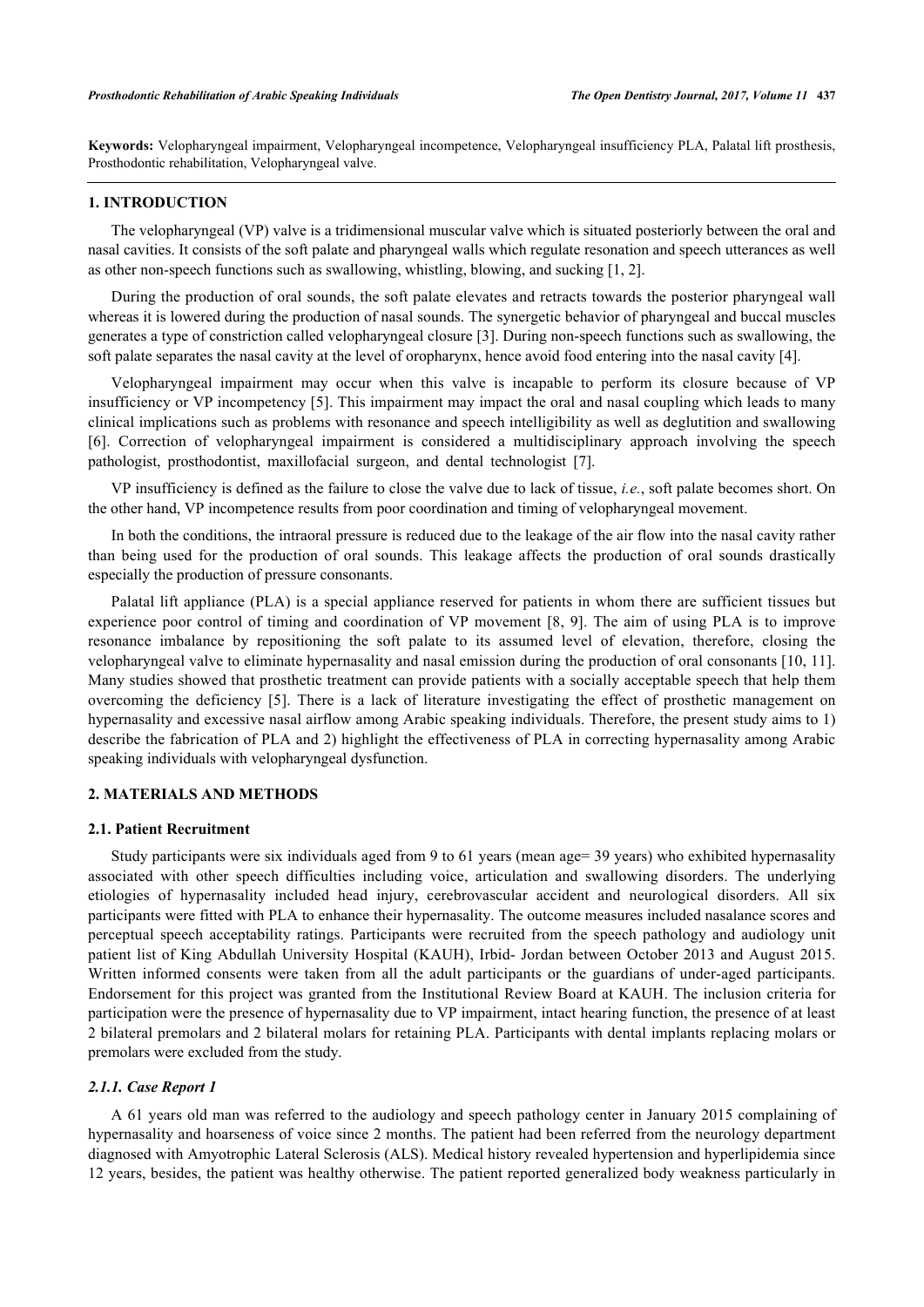**Keywords:** Velopharyngeal impairment, Velopharyngeal incompetence, Velopharyngeal insufficiency PLA, Palatal lift prosthesis, Prosthodontic rehabilitation, Velopharyngeal valve.

## **1. INTRODUCTION**

The velopharyngeal (VP) valve is a tridimensional muscular valve which is situated posteriorly between the oral and nasal cavities. It consists of the soft palate and pharyngeal walls which regulate resonation and speech utterances as well as other non-speech functions such as swallowing, whistling, blowing, and sucking [[1,](#page-8-0) [2\]](#page-8-1).

During the production of oral sounds, the soft palate elevates and retracts towards the posterior pharyngeal wall whereas it is lowered during the production of nasal sounds. The synergetic behavior of pharyngeal and buccal muscles generates a type of constriction called velopharyngeal closure [[3\]](#page-8-2). During non-speech functions such as swallowing, the soft palate separates the nasal cavity at the level of oropharynx, hence avoid food entering into the nasal cavity [\[4](#page-8-3)].

Velopharyngeal impairment may occur when this valve is incapable to perform its closure because of VP insufficiency or VP incompetency [[5\]](#page-8-4). This impairment may impact the oral and nasal coupling which leads to many clinical implications such as problems with resonance and speech intelligibility as well as deglutition and swallowing [\[6](#page-8-5)]. Correction of velopharyngeal impairment is considered a multidisciplinary approach involving the speech pathologist, prosthodontist, maxillofacial surgeon, and dental technologist[[7\]](#page-8-6).

VP insufficiency is defined as the failure to close the valve due to lack of tissue, *i.e.*, soft palate becomes short. On the other hand, VP incompetence results from poor coordination and timing of velopharyngeal movement.

In both the conditions, the intraoral pressure is reduced due to the leakage of the air flow into the nasal cavity rather than being used for the production of oral sounds. This leakage affects the production of oral sounds drastically especially the production of pressure consonants.

Palatal lift appliance (PLA) is a special appliance reserved for patients in whom there are sufficient tissues but experience poor control of timing and coordination of VP movement [[8](#page-8-7), [9\]](#page-8-8). The aim of using PLA is to improve resonance imbalance by repositioning the soft palate to its assumed level of elevation, therefore, closing the velopharyngeal valve to eliminate hypernasality and nasal emission during the production of oral consonants [[10](#page-8-9), [11\]](#page-9-0). Many studies showed that prosthetic treatment can provide patients with a socially acceptable speech that help them overcoming the deficiency [\[5](#page-8-4)]. There is a lack of literature investigating the effect of prosthetic management on hypernasality and excessive nasal airflow among Arabic speaking individuals. Therefore, the present study aims to 1) describe the fabrication of PLA and 2) highlight the effectiveness of PLA in correcting hypernasality among Arabic speaking individuals with velopharyngeal dysfunction.

## **2. MATERIALS AND METHODS**

#### **2.1. Patient Recruitment**

Study participants were six individuals aged from 9 to 61 years (mean age= 39 years) who exhibited hypernasality associated with other speech difficulties including voice, articulation and swallowing disorders. The underlying etiologies of hypernasality included head injury, cerebrovascular accident and neurological disorders. All six participants were fitted with PLA to enhance their hypernasality. The outcome measures included nasalance scores and perceptual speech acceptability ratings. Participants were recruited from the speech pathology and audiology unit patient list of King Abdullah University Hospital (KAUH), Irbid- Jordan between October 2013 and August 2015. Written informed consents were taken from all the adult participants or the guardians of under-aged participants. Endorsement for this project was granted from the Institutional Review Board at KAUH. The inclusion criteria for participation were the presence of hypernasality due to VP impairment, intact hearing function, the presence of at least 2 bilateral premolars and 2 bilateral molars for retaining PLA. Participants with dental implants replacing molars or premolars were excluded from the study.

#### *2.1.1. Case Report 1*

A 61 years old man was referred to the audiology and speech pathology center in January 2015 complaining of hypernasality and hoarseness of voice since 2 months. The patient had been referred from the neurology department diagnosed with Amyotrophic Lateral Sclerosis (ALS). Medical history revealed hypertension and hyperlipidemia since 12 years, besides, the patient was healthy otherwise. The patient reported generalized body weakness particularly in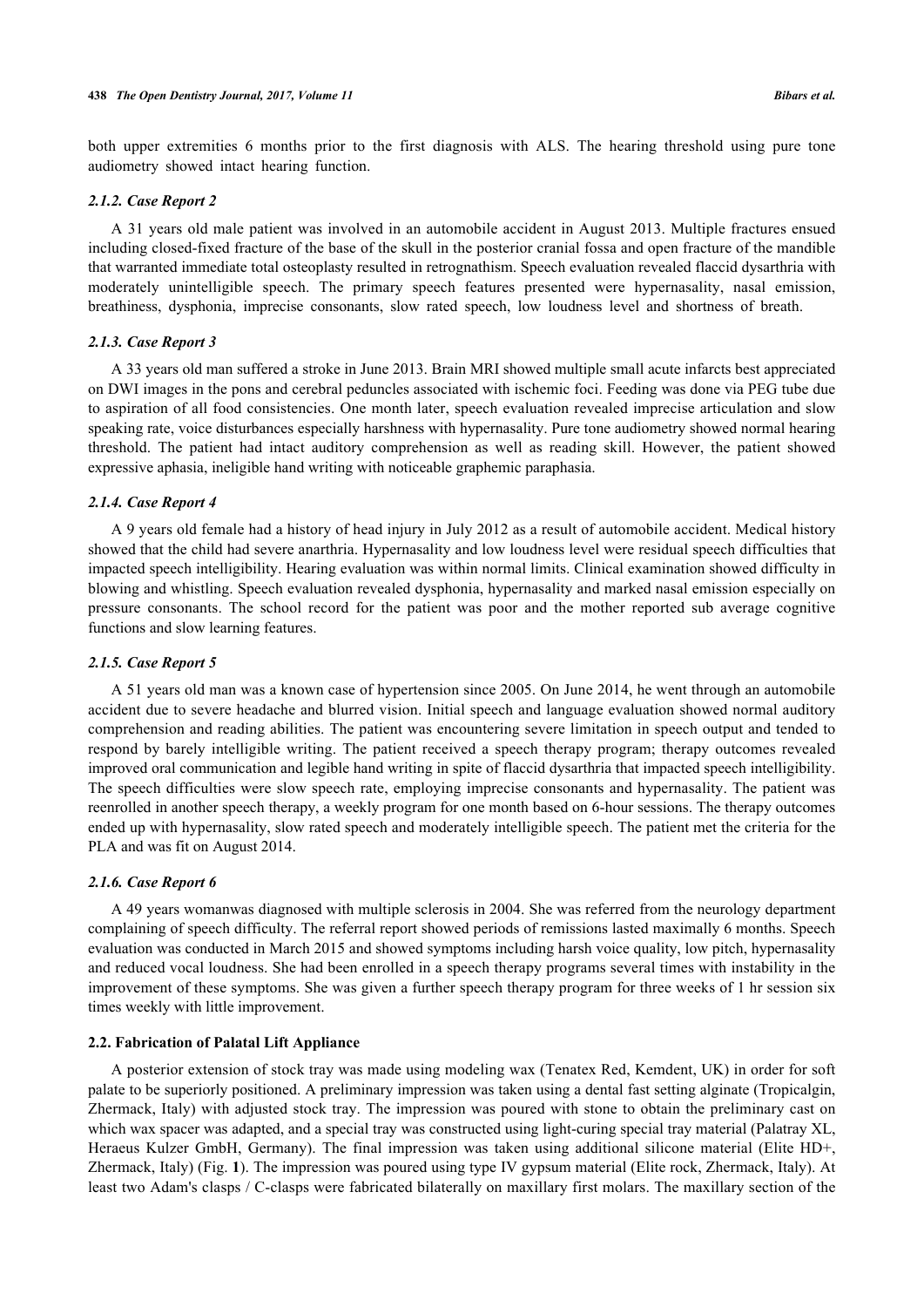both upper extremities 6 months prior to the first diagnosis with ALS. The hearing threshold using pure tone audiometry showed intact hearing function.

## *2.1.2. Case Report 2*

A 31 years old male patient was involved in an automobile accident in August 2013. Multiple fractures ensued including closed-fixed fracture of the base of the skull in the posterior cranial fossa and open fracture of the mandible that warranted immediate total osteoplasty resulted in retrognathism. Speech evaluation revealed flaccid dysarthria with moderately unintelligible speech. The primary speech features presented were hypernasality, nasal emission, breathiness, dysphonia, imprecise consonants, slow rated speech, low loudness level and shortness of breath.

#### *2.1.3. Case Report 3*

A 33 years old man suffered a stroke in June 2013. Brain MRI showed multiple small acute infarcts best appreciated on DWI images in the pons and cerebral peduncles associated with ischemic foci. Feeding was done via PEG tube due to aspiration of all food consistencies. One month later, speech evaluation revealed imprecise articulation and slow speaking rate, voice disturbances especially harshness with hypernasality. Pure tone audiometry showed normal hearing threshold. The patient had intact auditory comprehension as well as reading skill. However, the patient showed expressive aphasia, ineligible hand writing with noticeable graphemic paraphasia.

## *2.1.4. Case Report 4*

A 9 years old female had a history of head injury in July 2012 as a result of automobile accident. Medical history showed that the child had severe anarthria. Hypernasality and low loudness level were residual speech difficulties that impacted speech intelligibility. Hearing evaluation was within normal limits. Clinical examination showed difficulty in blowing and whistling. Speech evaluation revealed dysphonia, hypernasality and marked nasal emission especially on pressure consonants. The school record for the patient was poor and the mother reported sub average cognitive functions and slow learning features.

#### *2.1.5. Case Report 5*

A 51 years old man was a known case of hypertension since 2005. On June 2014, he went through an automobile accident due to severe headache and blurred vision. Initial speech and language evaluation showed normal auditory comprehension and reading abilities. The patient was encountering severe limitation in speech output and tended to respond by barely intelligible writing. The patient received a speech therapy program; therapy outcomes revealed improved oral communication and legible hand writing in spite of flaccid dysarthria that impacted speech intelligibility. The speech difficulties were slow speech rate, employing imprecise consonants and hypernasality. The patient was reenrolled in another speech therapy, a weekly program for one month based on 6-hour sessions. The therapy outcomes ended up with hypernasality, slow rated speech and moderately intelligible speech. The patient met the criteria for the PLA and was fit on August 2014.

#### *2.1.6. Case Report 6*

A 49 years womanwas diagnosed with multiple sclerosis in 2004. She was referred from the neurology department complaining of speech difficulty. The referral report showed periods of remissions lasted maximally 6 months. Speech evaluation was conducted in March 2015 and showed symptoms including harsh voice quality, low pitch, hypernasality and reduced vocal loudness. She had been enrolled in a speech therapy programs several times with instability in the improvement of these symptoms. She was given a further speech therapy program for three weeks of 1 hr session six times weekly with little improvement.

## **2.2. Fabrication of Palatal Lift Appliance**

A posterior extension of stock tray was made using modeling wax (Tenatex Red, Kemdent, UK) in order for soft palate to be superiorly positioned. A preliminary impression was taken using a dental fast setting alginate (Tropicalgin, Zhermack, Italy) with adjusted stock tray. The impression was poured with stone to obtain the preliminary cast on which wax spacer was adapted, and a special tray was constructed using light-curing special tray material (Palatray XL, Heraeus Kulzer GmbH, Germany). The final impression was taken using additional silicone material (Elite HD+, Zhermack, Italy) (Fig. **[1](#page-3-0)**). The impression was poured using type IV gypsum material (Elite rock, Zhermack, Italy). At least two Adam's clasps / C-clasps were fabricated bilaterally on maxillary first molars. The maxillary section of the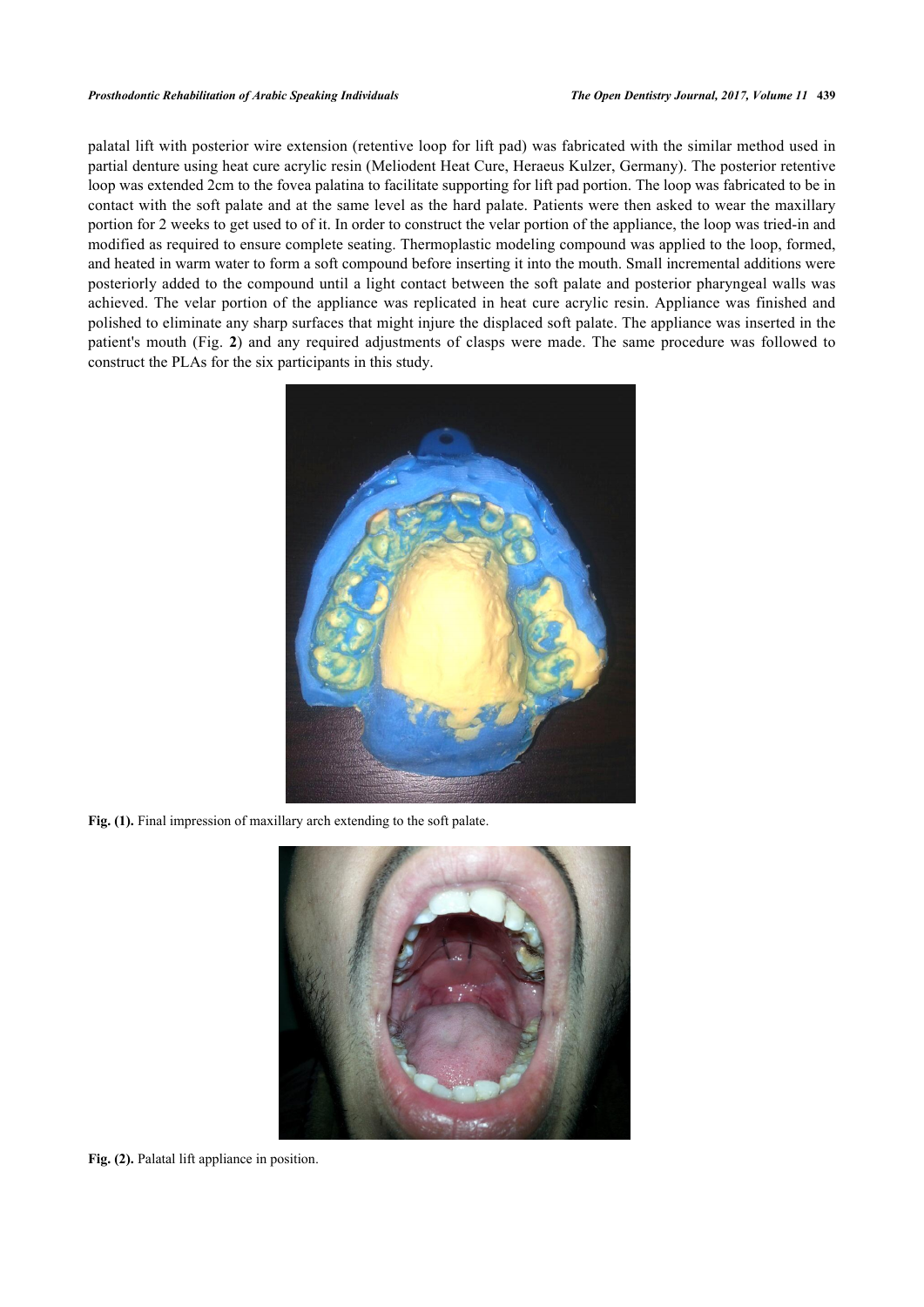palatal lift with posterior wire extension (retentive loop for lift pad) was fabricated with the similar method used in partial denture using heat cure acrylic resin (Meliodent Heat Cure, Heraeus Kulzer, Germany). The posterior retentive loop was extended 2cm to the fovea palatina to facilitate supporting for lift pad portion. The loop was fabricated to be in contact with the soft palate and at the same level as the hard palate. Patients were then asked to wear the maxillary portion for 2 weeks to get used to of it. In order to construct the velar portion of the appliance, the loop was tried-in and modified as required to ensure complete seating. Thermoplastic modeling compound was applied to the loop, formed, and heated in warm water to form a soft compound before inserting it into the mouth. Small incremental additions were posteriorly added to the compound until a light contact between the soft palate and posterior pharyngeal walls was achieved. The velar portion of the appliance was replicated in heat cure acrylic resin. Appliance was finished and polished to eliminate any sharp surfaces that might injure the displaced soft palate. The appliance was inserted in the patient's mouth (Fig.**2**) and any required adjustments of clasps were made. The same procedure was followed to construct the PLAs for the six participants in this study.

<span id="page-3-0"></span>

Fig. (1). Final impression of maxillary arch extending to the soft palate.

<span id="page-3-1"></span>

**Fig. (2).** Palatal lift appliance in position.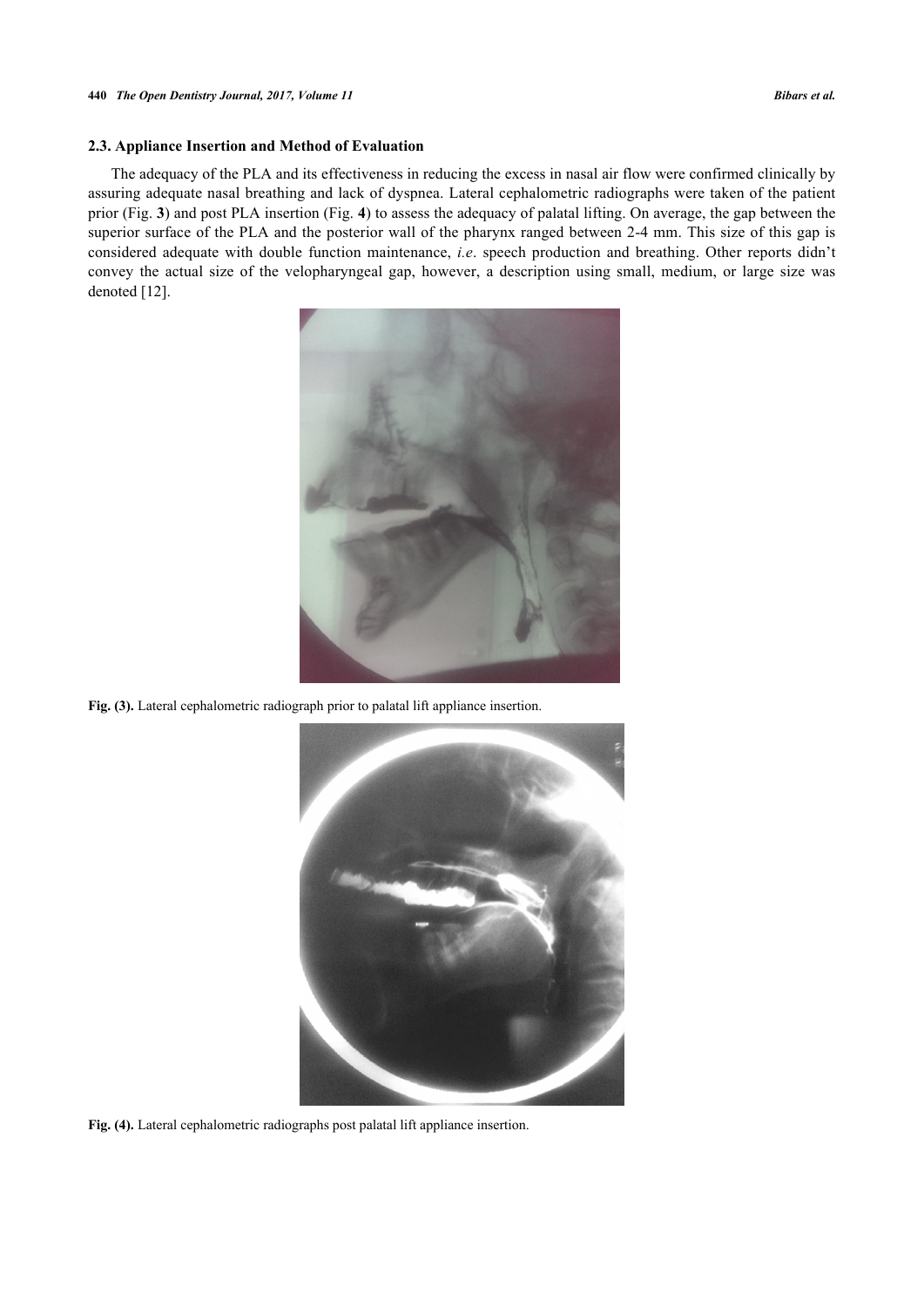## **2.3. Appliance Insertion and Method of Evaluation**

<span id="page-4-0"></span>The adequacy of the PLA and its effectiveness in reducing the excess in nasal air flow were confirmed clinically by assuring adequate nasal breathing and lack of dyspnea. Lateral cephalometric radiographs were taken of the patient prior (Fig. **[3](#page-4-0)**) and post PLA insertion (Fig. **[4](#page-4-1)**) to assess the adequacy of palatal lifting. On average, the gap between the superior surface of the PLA and the posterior wall of the pharynx ranged between 2-4 mm. This size of this gap is considered adequate with double function maintenance, *i.e*. speech production and breathing. Other reports didn't convey the actual size of the velopharyngeal gap, however, a description using small, medium, or large size was denoted [\[12](#page-9-1)].



Fig. (3). Lateral cephalometric radiograph prior to palatal lift appliance insertion.

<span id="page-4-1"></span>

**Fig. (4).** Lateral cephalometric radiographs post palatal lift appliance insertion.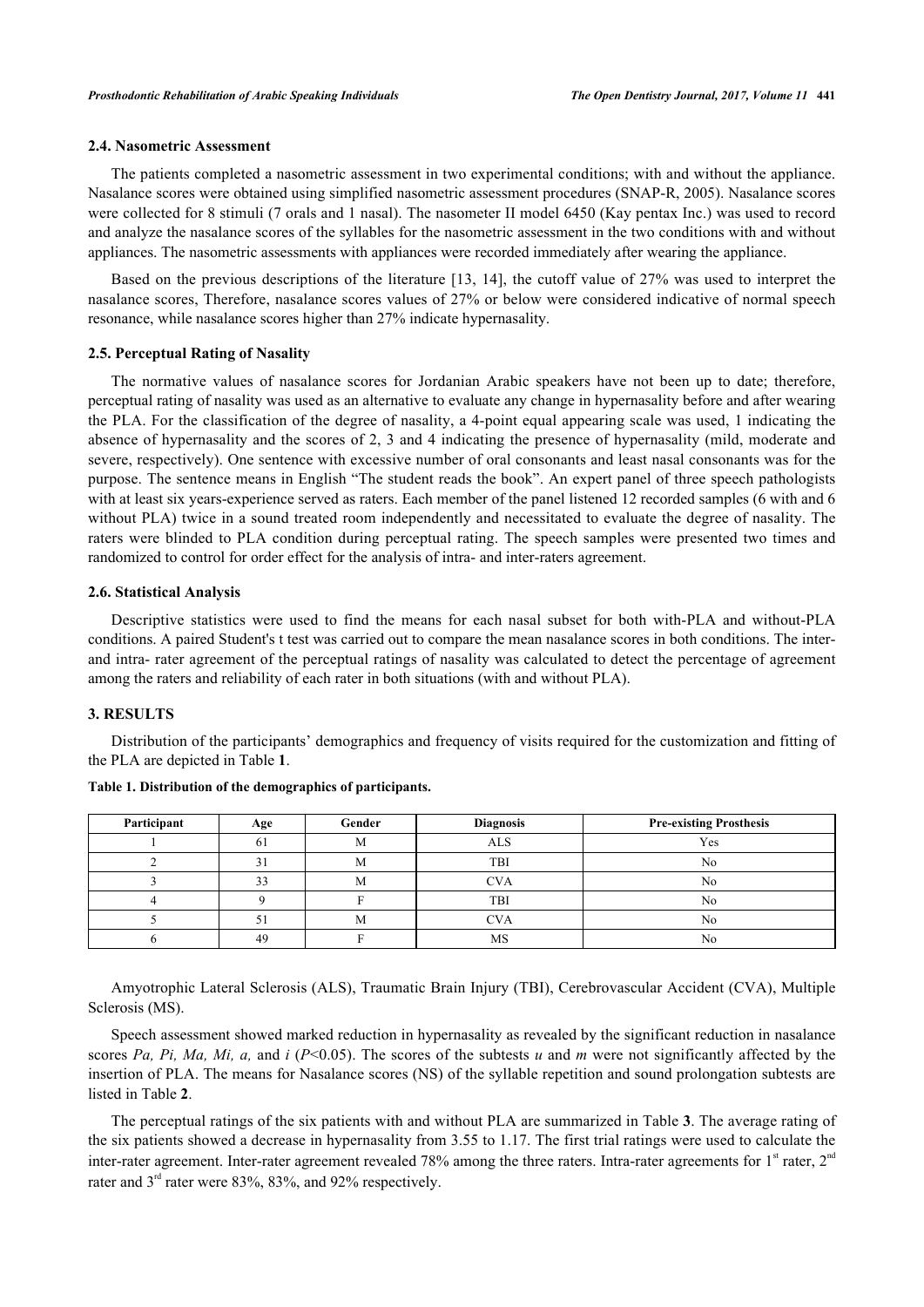#### **2.4. Nasometric Assessment**

The patients completed a nasometric assessment in two experimental conditions; with and without the appliance. Nasalance scores were obtained using simplified nasometric assessment procedures (SNAP-R, 2005). Nasalance scores were collected for 8 stimuli (7 orals and 1 nasal). The nasometer II model 6450 (Kay pentax Inc.) was used to record and analyze the nasalance scores of the syllables for the nasometric assessment in the two conditions with and without appliances. The nasometric assessments with appliances were recorded immediately after wearing the appliance.

Based on the previous descriptions of the literature [\[13](#page-9-2), [14\]](#page-9-3), the cutoff value of 27% was used to interpret the nasalance scores, Therefore, nasalance scores values of 27% or below were considered indicative of normal speech resonance, while nasalance scores higher than 27% indicate hypernasality.

#### **2.5. Perceptual Rating of Nasality**

The normative values of nasalance scores for Jordanian Arabic speakers have not been up to date; therefore, perceptual rating of nasality was used as an alternative to evaluate any change in hypernasality before and after wearing the PLA. For the classification of the degree of nasality, a 4-point equal appearing scale was used, 1 indicating the absence of hypernasality and the scores of 2, 3 and 4 indicating the presence of hypernasality (mild, moderate and severe, respectively). One sentence with excessive number of oral consonants and least nasal consonants was for the purpose. The sentence means in English "The student reads the book". An expert panel of three speech pathologists with at least six years-experience served as raters. Each member of the panel listened 12 recorded samples (6 with and 6 without PLA) twice in a sound treated room independently and necessitated to evaluate the degree of nasality. The raters were blinded to PLA condition during perceptual rating. The speech samples were presented two times and randomized to control for order effect for the analysis of intra- and inter-raters agreement.

#### **2.6. Statistical Analysis**

Descriptive statistics were used to find the means for each nasal subset for both with-PLA and without-PLA conditions. A paired Student's t test was carried out to compare the mean nasalance scores in both conditions. The interand intra- rater agreement of the perceptual ratings of nasality was calculated to detect the percentage of agreement among the raters and reliability of each rater in both situations (with and without PLA).

#### **3. RESULTS**

Distribution of the participants' demographics and frequency of visits required for the customization and fitting of the PLA are depicted in Table **[1](#page-5-0)**.

| Participant | Age           | Gender | <b>Diagnosis</b> | <b>Pre-existing Prosthesis</b> |  |
|-------------|---------------|--------|------------------|--------------------------------|--|
|             | 01            | M      | <b>ALS</b>       | Yes                            |  |
|             |               | M      | TBI              | No                             |  |
|             | $\mathcal{D}$ | М      | CVA              | No                             |  |
|             |               |        | TBI              | No                             |  |
|             |               | M      | <b>CVA</b>       | No                             |  |
|             | 49            |        | MS               | No                             |  |

<span id="page-5-0"></span>**Table 1. Distribution of the demographics of participants.**

Amyotrophic Lateral Sclerosis (ALS), Traumatic Brain Injury (TBI), Cerebrovascular Accident (CVA), Multiple Sclerosis (MS).

Speech assessment showed marked reduction in hypernasality as revealed by the significant reduction in nasalance scores *Pa, Pi, Ma, Mi, a,* and *i* (*P*<0.05). The scores of the subtests *u* and *m* were not significantly affected by the insertion of PLA. The means for Nasalance scores (NS) of the syllable repetition and sound prolongation subtests are listed in Table **[2](#page-5-1)**.

<span id="page-5-1"></span>The perceptual ratings of the six patients with and without PLA are summarized in Table **[3](#page-6-0)**. The average rating of the six patients showed a decrease in hypernasality from 3.55 to 1.17. The first trial ratings were used to calculate the inter-rater agreement. Inter-rater agreement revealed 78% among the three raters. Intra-rater agreements for  $1<sup>st</sup>$  rater,  $2<sup>nd</sup>$ rater and 3<sup>rd</sup> rater were 83%, 83%, and 92% respectively.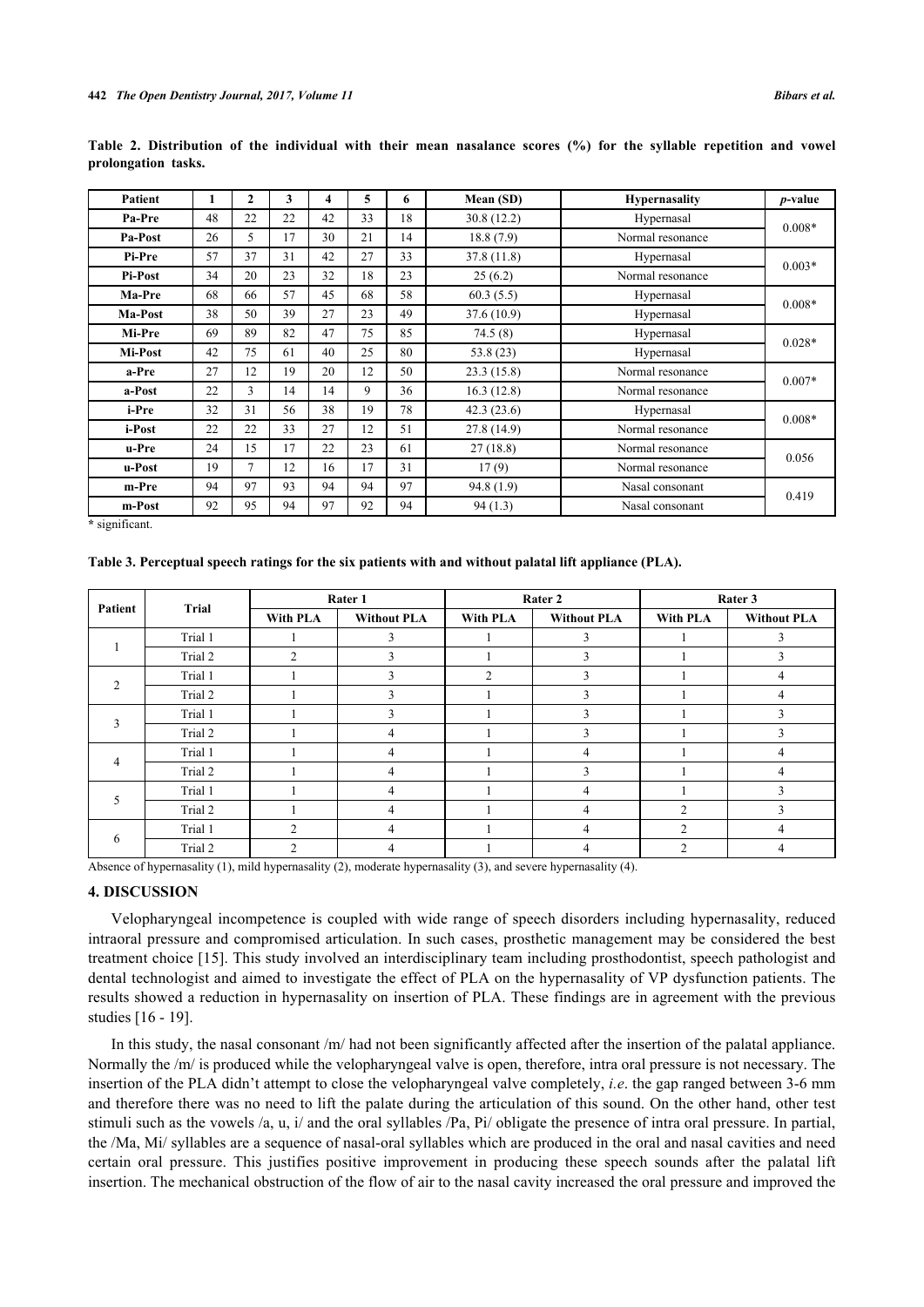| <b>Patient</b> | 1  | $\mathbf{2}$   | 3  | 4  | 5  | 6  | Mean (SD)  | <b>Hypernasality</b> | <i>p</i> -value |
|----------------|----|----------------|----|----|----|----|------------|----------------------|-----------------|
| Pa-Pre         | 48 | 22             | 22 | 42 | 33 | 18 | 30.8(12.2) | Hypernasal           | $0.008*$        |
| Pa-Post        | 26 | 5              | 17 | 30 | 21 | 14 | 18.8(7.9)  | Normal resonance     |                 |
| Pi-Pre         | 57 | 37             | 31 | 42 | 27 | 33 | 37.8(11.8) | Hypernasal           | $0.003*$        |
| <b>Pi-Post</b> | 34 | 20             | 23 | 32 | 18 | 23 | 25(6.2)    | Normal resonance     |                 |
| Ma-Pre         | 68 | 66             | 57 | 45 | 68 | 58 | 60.3(5.5)  | Hypernasal           | $0.008*$        |
| Ma-Post        | 38 | 50             | 39 | 27 | 23 | 49 | 37.6(10.9) | Hypernasal           |                 |
| Mi-Pre         | 69 | 89             | 82 | 47 | 75 | 85 | 74.5(8)    | Hypernasal           | $0.028*$        |
| Mi-Post        | 42 | 75             | 61 | 40 | 25 | 80 | 53.8(23)   | Hypernasal           |                 |
| a-Pre          | 27 | 12             | 19 | 20 | 12 | 50 | 23.3(15.8) | Normal resonance     |                 |
| a-Post         | 22 | 3              | 14 | 14 | 9  | 36 | 16.3(12.8) | Normal resonance     | $0.007*$        |
| i-Pre          | 32 | 31             | 56 | 38 | 19 | 78 | 42.3(23.6) | Hypernasal           | $0.008*$        |
| i-Post         | 22 | 22             | 33 | 27 | 12 | 51 | 27.8(14.9) | Normal resonance     |                 |
| u-Pre          | 24 | 15             | 17 | 22 | 23 | 61 | 27(18.8)   | Normal resonance     |                 |
| u-Post         | 19 | $\overline{7}$ | 12 | 16 | 17 | 31 | 17(9)      | Normal resonance     | 0.056           |
| m-Pre          | 94 | 97             | 93 | 94 | 94 | 97 | 94.8(1.9)  | Nasal consonant      |                 |
| m-Post         | 92 | 95             | 94 | 97 | 92 | 94 | 94(1.3)    | Nasal consonant      | 0.419           |

**Table 2. Distribution of the individual with their mean nasalance scores (%) for the syllable repetition and vowel prolongation tasks.**

**\*** significant.

<span id="page-6-0"></span>**Table 3. Perceptual speech ratings for the six patients with and without palatal lift appliance (PLA).**

| Patient        | Trial   |                 | Rater 1            | Rater 2  |                    | Rater 3        |                    |
|----------------|---------|-----------------|--------------------|----------|--------------------|----------------|--------------------|
|                |         | <b>With PLA</b> | <b>Without PLA</b> | With PLA | <b>Without PLA</b> | With PLA       | <b>Without PLA</b> |
|                | Trial 1 |                 | 3                  |          | 3                  |                | 3                  |
|                | Trial 2 | 2               | 3                  |          | 3                  |                | 3                  |
| $\overline{2}$ | Trial 1 |                 | 3                  | 2        | 3                  |                | 4                  |
|                | Trial 2 |                 | $\mathcal{E}$      |          | 3                  |                | 4                  |
| 3              | Trial 1 |                 | 3                  |          | 3                  |                | 3                  |
|                | Trial 2 |                 | 4                  |          | 3                  |                | 3                  |
| 4              | Trial 1 |                 | 4                  |          | 4                  |                | 4                  |
|                | Trial 2 |                 | 4                  |          | 3                  |                | 4                  |
| 5              | Trial 1 |                 | 4                  |          | 4                  |                | ٩                  |
|                | Trial 2 |                 | $\overline{4}$     |          | $\overline{4}$     | $\mathfrak{D}$ | 3                  |
| 6              | Trial 1 | $\overline{2}$  | 4                  |          | 4                  | $\overline{2}$ | 4                  |
|                | Trial 2 | $\overline{c}$  | 4                  |          | 4                  | $\mathfrak{D}$ | 4                  |

Absence of hypernasality (1), mild hypernasality (2), moderate hypernasality (3), and severe hypernasality (4).

#### **4. DISCUSSION**

Velopharyngeal incompetence is coupled with wide range of speech disorders including hypernasality, reduced intraoral pressure and compromised articulation. In such cases, prosthetic management may be considered the best treatment choice [[15](#page-9-4)]. This study involved an interdisciplinary team including prosthodontist, speech pathologist and dental technologist and aimed to investigate the effect of PLA on the hypernasality of VP dysfunction patients. The results showed a reduction in hypernasality on insertion of PLA. These findings are in agreement with the previous studies [\[16](#page-9-5) - [19\]](#page-9-6).

In this study, the nasal consonant /m/ had not been significantly affected after the insertion of the palatal appliance. Normally the /m/ is produced while the velopharyngeal valve is open, therefore, intra oral pressure is not necessary. The insertion of the PLA didn't attempt to close the velopharyngeal valve completely, *i.e*. the gap ranged between 3-6 mm and therefore there was no need to lift the palate during the articulation of this sound. On the other hand, other test stimuli such as the vowels /a, u, i/ and the oral syllables /Pa, Pi/ obligate the presence of intra oral pressure. In partial, the /Ma, Mi/ syllables are a sequence of nasal-oral syllables which are produced in the oral and nasal cavities and need certain oral pressure. This justifies positive improvement in producing these speech sounds after the palatal lift insertion. The mechanical obstruction of the flow of air to the nasal cavity increased the oral pressure and improved the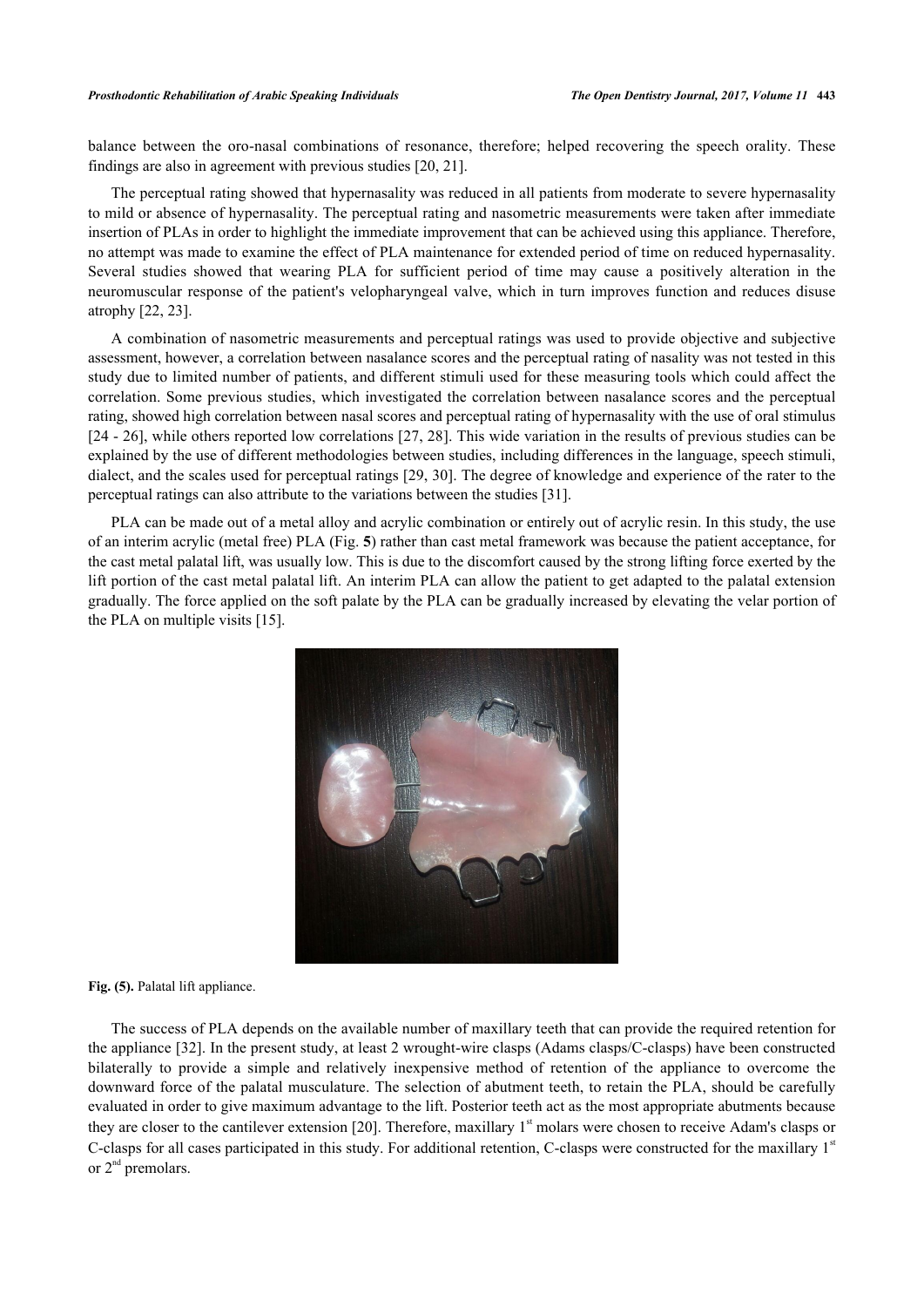#### *Prosthodontic Rehabilitation of Arabic Speaking Individuals The Open Dentistry Journal, 2017, Volume 11* **443**

balance between the oro-nasal combinations of resonance, therefore; helped recovering the speech orality. These findings are also in agreement with previous studies [[20,](#page-9-7) [21\]](#page-9-8).

The perceptual rating showed that hypernasality was reduced in all patients from moderate to severe hypernasality to mild or absence of hypernasality. The perceptual rating and nasometric measurements were taken after immediate insertion of PLAs in order to highlight the immediate improvement that can be achieved using this appliance. Therefore, no attempt was made to examine the effect of PLA maintenance for extended period of time on reduced hypernasality. Several studies showed that wearing PLA for sufficient period of time may cause a positively alteration in the neuromuscular response of the patient's velopharyngeal valve, which in turn improves function and reduces disuse atrophy [\[22](#page-9-9), [23](#page-9-10)].

A combination of nasometric measurements and perceptual ratings was used to provide objective and subjective assessment, however, a correlation between nasalance scores and the perceptual rating of nasality was not tested in this study due to limited number of patients, and different stimuli used for these measuring tools which could affect the correlation. Some previous studies, which investigated the correlation between nasalance scores and the perceptual rating, showed high correlation between nasal scores and perceptual rating of hypernasality with the use of oral stimulus [\[24](#page-9-11) - [26](#page-9-12)], while others reported low correlations [[27](#page-9-13), [28\]](#page-9-14). This wide variation in the results of previous studies can be explained by the use of different methodologies between studies, including differences in the language, speech stimuli, dialect, and the scales used for perceptual ratings [\[29](#page-9-15), [30\]](#page-9-16). The degree of knowledge and experience of the rater to the perceptual ratings can also attribute to the variations between the studies [\[31](#page-10-0)].

<span id="page-7-0"></span>PLA can be made out of a metal alloy and acrylic combination or entirely out of acrylic resin. In this study, the use of an interim acrylic (metal free) PLA (Fig. **[5](#page-7-0)**) rather than cast metal framework was because the patient acceptance, for the cast metal palatal lift, was usually low. This is due to the discomfort caused by the strong lifting force exerted by the lift portion of the cast metal palatal lift. An interim PLA can allow the patient to get adapted to the palatal extension gradually. The force applied on the soft palate by the PLA can be gradually increased by elevating the velar portion of the PLA on multiple visits [\[15](#page-9-4)].



**Fig. (5).** Palatal lift appliance.

The success of PLA depends on the available number of maxillary teeth that can provide the required retention for the appliance [[32\]](#page-10-1). In the present study, at least 2 wrought-wire clasps (Adams clasps/C-clasps) have been constructed bilaterally to provide a simple and relatively inexpensive method of retention of the appliance to overcome the downward force of the palatal musculature. The selection of abutment teeth, to retain the PLA, should be carefully evaluated in order to give maximum advantage to the lift. Posterior teeth act as the most appropriate abutments because they are closer to the cantilever extension [[20](#page-9-7)]. Therefore, maxillary  $1<sup>st</sup>$  molars were chosen to receive Adam's clasps or C-clasps for all cases participated in this study. For additional retention, C-clasps were constructed for the maxillary  $1<sup>st</sup>$ or  $2<sup>nd</sup>$  premolars.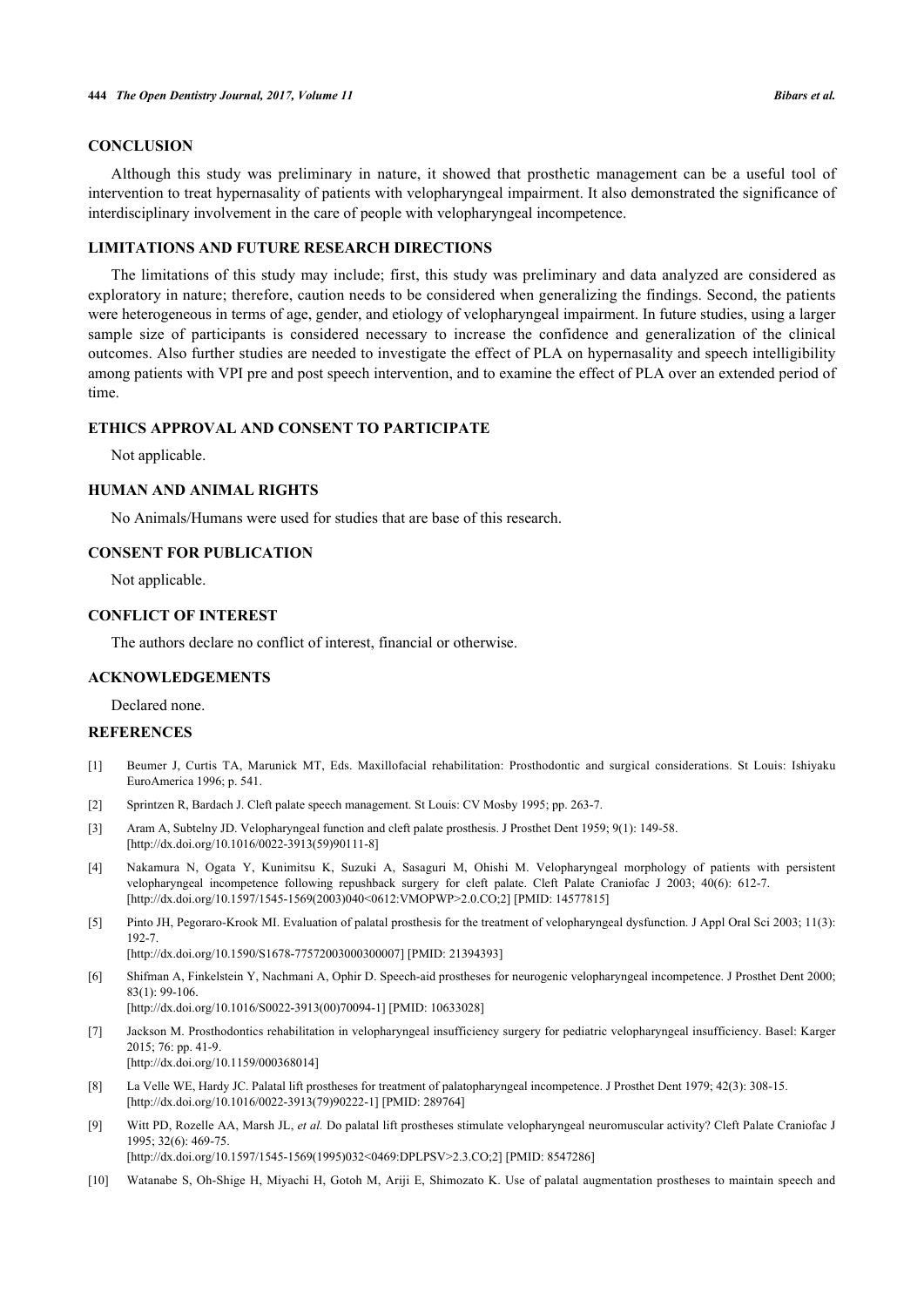## **CONCLUSION**

Although this study was preliminary in nature, it showed that prosthetic management can be a useful tool of intervention to treat hypernasality of patients with velopharyngeal impairment. It also demonstrated the significance of interdisciplinary involvement in the care of people with velopharyngeal incompetence.

### **LIMITATIONS AND FUTURE RESEARCH DIRECTIONS**

The limitations of this study may include; first, this study was preliminary and data analyzed are considered as exploratory in nature; therefore, caution needs to be considered when generalizing the findings. Second, the patients were heterogeneous in terms of age, gender, and etiology of velopharyngeal impairment. In future studies, using a larger sample size of participants is considered necessary to increase the confidence and generalization of the clinical outcomes. Also further studies are needed to investigate the effect of PLA on hypernasality and speech intelligibility among patients with VPI pre and post speech intervention, and to examine the effect of PLA over an extended period of time.

## **ETHICS APPROVAL AND CONSENT TO PARTICIPATE**

Not applicable.

## **HUMAN AND ANIMAL RIGHTS**

No Animals/Humans were used for studies that are base of this research.

#### **CONSENT FOR PUBLICATION**

Not applicable.

#### **CONFLICT OF INTEREST**

The authors declare no conflict of interest, financial or otherwise.

#### **ACKNOWLEDGEMENTS**

Declared none.

#### **REFERENCES**

- <span id="page-8-0"></span>[1] Beumer J, Curtis TA, Marunick MT, Eds. Maxillofacial rehabilitation: Prosthodontic and surgical considerations. St Louis: Ishiyaku EuroAmerica 1996; p. 541.
- <span id="page-8-1"></span>[2] Sprintzen R, Bardach J. Cleft palate speech management. St Louis: CV Mosby 1995; pp. 263-7.
- <span id="page-8-2"></span>[3] Aram A, Subtelny JD. Velopharyngeal function and cleft palate prosthesis. J Prosthet Dent 1959; 9(1): 149-58. [\[http://dx.doi.org/10.1016/0022-3913\(59\)90111-8](http://dx.doi.org/10.1016/0022-3913(59)90111-8)]
- <span id="page-8-3"></span>[4] Nakamura N, Ogata Y, Kunimitsu K, Suzuki A, Sasaguri M, Ohishi M. Velopharyngeal morphology of patients with persistent velopharyngeal incompetence following repushback surgery for cleft palate. Cleft Palate Craniofac J 2003; 40(6): 612-7. [\[http://dx.doi.org/10.1597/1545-1569\(2003\)040<0612:VMOPWP>2.0.CO;2\]](http://dx.doi.org/10.1597/1545-1569(2003)040<0612:VMOPWP>2.0.CO;2) [PMID: [14577815](http://www.ncbi.nlm.nih.gov/pubmed/14577815)]
- <span id="page-8-4"></span>[5] Pinto JH, Pegoraro-Krook MI. Evaluation of palatal prosthesis for the treatment of velopharyngeal dysfunction. J Appl Oral Sci 2003; 11(3): 192-7.
	- [\[http://dx.doi.org/10.1590/S1678-77572003000300007\]](http://dx.doi.org/10.1590/S1678-77572003000300007) [PMID: [21394393](http://www.ncbi.nlm.nih.gov/pubmed/21394393)]
- <span id="page-8-5"></span>[6] Shifman A, Finkelstein Y, Nachmani A, Ophir D. Speech-aid prostheses for neurogenic velopharyngeal incompetence. J Prosthet Dent 2000; 83(1): 99-106.
	- [\[http://dx.doi.org/10.1016/S0022-3913\(00\)70094-1\]](http://dx.doi.org/10.1016/S0022-3913(00)70094-1) [PMID: [10633028](http://www.ncbi.nlm.nih.gov/pubmed/10633028)]
- <span id="page-8-6"></span>[7] Jackson M. Prosthodontics rehabilitation in velopharyngeal insufficiency surgery for pediatric velopharyngeal insufficiency. Basel: Karger  $2015:76:$  pp. 41-9. [\[http://dx.doi.org/10.1159/000368014\]](http://dx.doi.org/10.1159/000368014)
- <span id="page-8-7"></span>[8] La Velle WE, Hardy JC. Palatal lift prostheses for treatment of palatopharyngeal incompetence. J Prosthet Dent 1979; 42(3): 308-15. [\[http://dx.doi.org/10.1016/0022-3913\(79\)90222-1](http://dx.doi.org/10.1016/0022-3913(79)90222-1)] [PMID: [289764](http://www.ncbi.nlm.nih.gov/pubmed/289764)]
- <span id="page-8-8"></span>[9] Witt PD, Rozelle AA, Marsh JL, *et al.* Do palatal lift prostheses stimulate velopharyngeal neuromuscular activity? Cleft Palate Craniofac J 1995; 32(6): 469-75. [\[http://dx.doi.org/10.1597/1545-1569\(1995\)032<0469:DPLPSV>2.3.CO;2](http://dx.doi.org/10.1597/1545-1569(1995)032<0469:DPLPSV>2.3.CO;2)] [PMID: [8547286\]](http://www.ncbi.nlm.nih.gov/pubmed/8547286)
- <span id="page-8-9"></span>[10] Watanabe S, Oh-Shige H, Miyachi H, Gotoh M, Ariji E, Shimozato K. Use of palatal augmentation prostheses to maintain speech and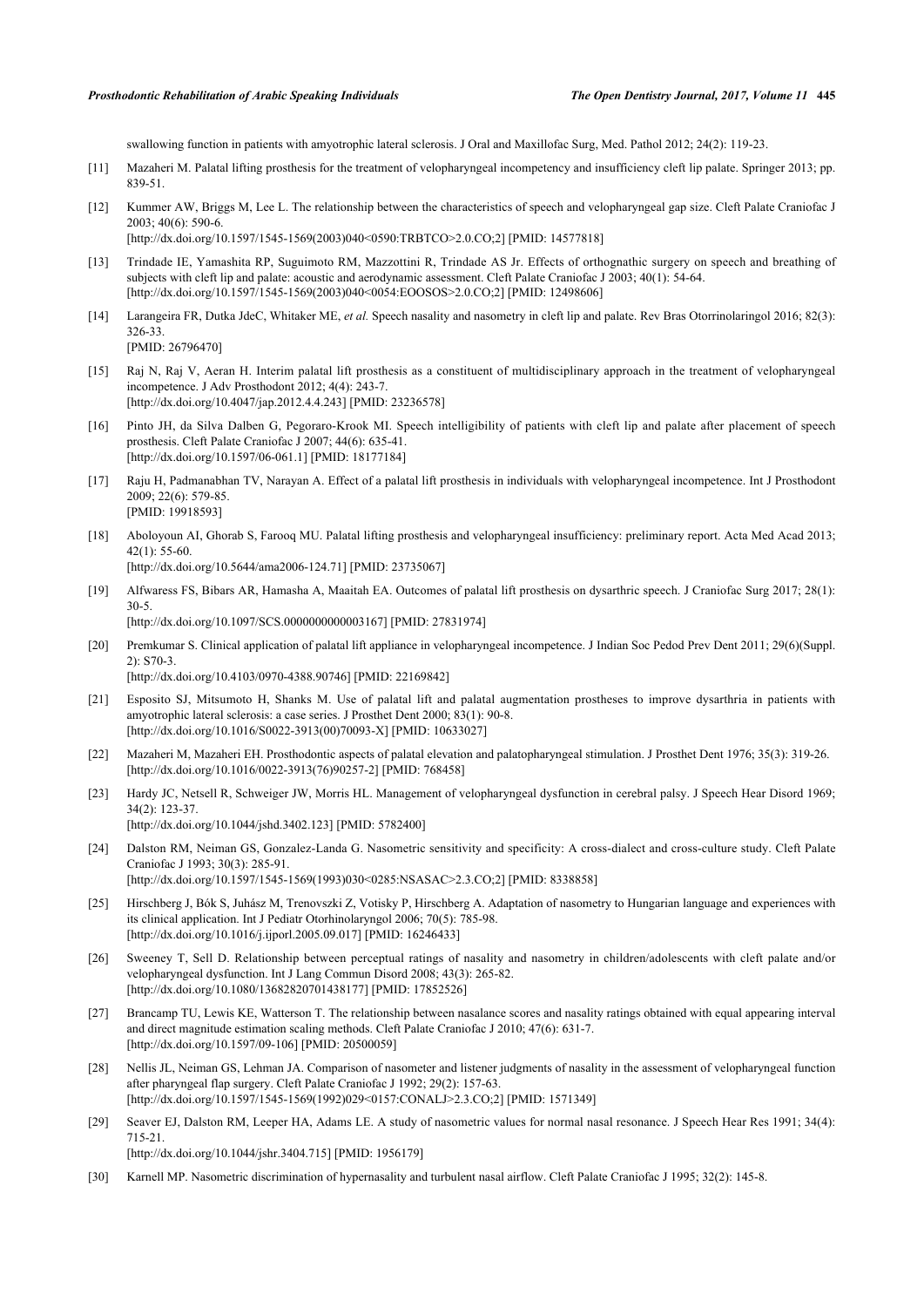swallowing function in patients with amyotrophic lateral sclerosis. J Oral and Maxillofac Surg, Med. Pathol 2012; 24(2): 119-23.

- <span id="page-9-0"></span>[11] Mazaheri M. Palatal lifting prosthesis for the treatment of velopharyngeal incompetency and insufficiency cleft lip palate. Springer 2013; pp. 839-51.
- <span id="page-9-1"></span>[12] Kummer AW, Briggs M, Lee L. The relationship between the characteristics of speech and velopharyngeal gap size. Cleft Palate Craniofac J 2003; 40(6): 590-6. [\[http://dx.doi.org/10.1597/1545-1569\(2003\)040<0590:TRBTCO>2.0.CO;2\]](http://dx.doi.org/10.1597/1545-1569(2003)040<0590:TRBTCO>2.0.CO;2) [PMID: [14577818\]](http://www.ncbi.nlm.nih.gov/pubmed/14577818)
- <span id="page-9-2"></span>[13] Trindade IE, Yamashita RP, Suguimoto RM, Mazzottini R, Trindade AS Jr. Effects of orthognathic surgery on speech and breathing of subjects with cleft lip and palate: acoustic and aerodynamic assessment. Cleft Palate Craniofac J 2003; 40(1): 54-64. [\[http://dx.doi.org/10.1597/1545-1569\(2003\)040<0054:EOOSOS>2.0.CO;2\]](http://dx.doi.org/10.1597/1545-1569(2003)040<0054:EOOSOS>2.0.CO;2) [PMID: [12498606](http://www.ncbi.nlm.nih.gov/pubmed/12498606)]
- <span id="page-9-3"></span>[14] Larangeira FR, Dutka JdeC, Whitaker ME, *et al.* Speech nasality and nasometry in cleft lip and palate. Rev Bras Otorrinolaringol 2016; 82(3): 326-33.

[PMID: [26796470\]](http://www.ncbi.nlm.nih.gov/pubmed/26796470)

- <span id="page-9-4"></span>[15] Raj N, Raj V, Aeran H. Interim palatal lift prosthesis as a constituent of multidisciplinary approach in the treatment of velopharyngeal incompetence. J Adv Prosthodont 2012; 4(4): 243-7. [\[http://dx.doi.org/10.4047/jap.2012.4.4.243\]](http://dx.doi.org/10.4047/jap.2012.4.4.243) [PMID: [23236578](http://www.ncbi.nlm.nih.gov/pubmed/23236578)]
- <span id="page-9-5"></span>[16] Pinto JH, da Silva Dalben G, Pegoraro-Krook MI. Speech intelligibility of patients with cleft lip and palate after placement of speech prosthesis. Cleft Palate Craniofac J 2007; 44(6): 635-41. [\[http://dx.doi.org/10.1597/06-061.1](http://dx.doi.org/10.1597/06-061.1)] [PMID: [18177184](http://www.ncbi.nlm.nih.gov/pubmed/18177184)]
- [17] Raju H, Padmanabhan TV, Narayan A. Effect of a palatal lift prosthesis in individuals with velopharyngeal incompetence. Int J Prosthodont 2009; 22(6): 579-85. [PMID: [19918593\]](http://www.ncbi.nlm.nih.gov/pubmed/19918593)
- [18] Aboloyoun AI, Ghorab S, Farooq MU. Palatal lifting prosthesis and velopharyngeal insufficiency: preliminary report. Acta Med Acad 2013; 42(1): 55-60.

[\[http://dx.doi.org/10.5644/ama2006-124.71\]](http://dx.doi.org/10.5644/ama2006-124.71) [PMID: [23735067](http://www.ncbi.nlm.nih.gov/pubmed/23735067)]

- <span id="page-9-6"></span>[19] Alfwaress FS, Bibars AR, Hamasha A, Maaitah EA. Outcomes of palatal lift prosthesis on dysarthric speech. J Craniofac Surg 2017; 28(1): 30-5. [\[http://dx.doi.org/10.1097/SCS.0000000000003167](http://dx.doi.org/10.1097/SCS.0000000000003167)] [PMID: [27831974\]](http://www.ncbi.nlm.nih.gov/pubmed/27831974)
- <span id="page-9-7"></span>[20] Premkumar S. Clinical application of palatal lift appliance in velopharyngeal incompetence. J Indian Soc Pedod Prev Dent 2011; 29(6)(Suppl. 2): S70-3.

[\[http://dx.doi.org/10.4103/0970-4388.90746](http://dx.doi.org/10.4103/0970-4388.90746)] [PMID: [22169842](http://www.ncbi.nlm.nih.gov/pubmed/22169842)]

- <span id="page-9-8"></span>[21] Esposito SJ, Mitsumoto H, Shanks M. Use of palatal lift and palatal augmentation prostheses to improve dysarthria in patients with amyotrophic lateral sclerosis: a case series. J Prosthet Dent 2000; 83(1): 90-8. [\[http://dx.doi.org/10.1016/S0022-3913\(00\)70093-X\]](http://dx.doi.org/10.1016/S0022-3913(00)70093-X) [PMID: [10633027](http://www.ncbi.nlm.nih.gov/pubmed/10633027)]
- <span id="page-9-9"></span>[22] Mazaheri M, Mazaheri EH. Prosthodontic aspects of palatal elevation and palatopharyngeal stimulation. J Prosthet Dent 1976; 35(3): 319-26. [\[http://dx.doi.org/10.1016/0022-3913\(76\)90257-2](http://dx.doi.org/10.1016/0022-3913(76)90257-2)] [PMID: [768458](http://www.ncbi.nlm.nih.gov/pubmed/768458)]
- <span id="page-9-10"></span>[23] Hardy JC, Netsell R, Schweiger JW, Morris HL. Management of velopharyngeal dysfunction in cerebral palsy. J Speech Hear Disord 1969; 34(2): 123-37. [\[http://dx.doi.org/10.1044/jshd.3402.123](http://dx.doi.org/10.1044/jshd.3402.123)] [PMID: [5782400\]](http://www.ncbi.nlm.nih.gov/pubmed/5782400)
- <span id="page-9-11"></span>[24] Dalston RM, Neiman GS, Gonzalez-Landa G. Nasometric sensitivity and specificity: A cross-dialect and cross-culture study. Cleft Palate Craniofac J 1993; 30(3): 285-91. [\[http://dx.doi.org/10.1597/1545-1569\(1993\)030<0285:NSASAC>2.3.CO;2\]](http://dx.doi.org/10.1597/1545-1569(1993)030<0285:NSASAC>2.3.CO;2) [PMID: [8338858\]](http://www.ncbi.nlm.nih.gov/pubmed/8338858)
- [25] Hirschberg J, Bók S, Juhász M, Trenovszki Z, Votisky P, Hirschberg A. Adaptation of nasometry to Hungarian language and experiences with its clinical application. Int J Pediatr Otorhinolaryngol 2006; 70(5): 785-98. [\[http://dx.doi.org/10.1016/j.ijporl.2005.09.017](http://dx.doi.org/10.1016/j.ijporl.2005.09.017)] [PMID: [16246433\]](http://www.ncbi.nlm.nih.gov/pubmed/16246433)
- <span id="page-9-12"></span>[26] Sweeney T, Sell D. Relationship between perceptual ratings of nasality and nasometry in children/adolescents with cleft palate and/or velopharyngeal dysfunction. Int J Lang Commun Disord 2008; 43(3): 265-82. [\[http://dx.doi.org/10.1080/13682820701438177\]](http://dx.doi.org/10.1080/13682820701438177) [PMID: [17852526](http://www.ncbi.nlm.nih.gov/pubmed/17852526)]
- <span id="page-9-13"></span>[27] Brancamp TU, Lewis KE, Watterson T. The relationship between nasalance scores and nasality ratings obtained with equal appearing interval and direct magnitude estimation scaling methods. Cleft Palate Craniofac J 2010; 47(6): 631-7. [\[http://dx.doi.org/10.1597/09-106](http://dx.doi.org/10.1597/09-106)] [PMID: [20500059](http://www.ncbi.nlm.nih.gov/pubmed/20500059)]
- <span id="page-9-14"></span>[28] Nellis JL, Neiman GS, Lehman JA. Comparison of nasometer and listener judgments of nasality in the assessment of velopharyngeal function after pharyngeal flap surgery. Cleft Palate Craniofac J 1992; 29(2): 157-63. [\[http://dx.doi.org/10.1597/1545-1569\(1992\)029<0157:CONALJ>2.3.CO;2](http://dx.doi.org/10.1597/1545-1569(1992)029<0157:CONALJ>2.3.CO;2)] [PMID: [1571349\]](http://www.ncbi.nlm.nih.gov/pubmed/1571349)
- <span id="page-9-15"></span>[29] Seaver EJ, Dalston RM, Leeper HA, Adams LE. A study of nasometric values for normal nasal resonance. J Speech Hear Res 1991; 34(4): 715-21. [\[http://dx.doi.org/10.1044/jshr.3404.715\]](http://dx.doi.org/10.1044/jshr.3404.715) [PMID: [1956179](http://www.ncbi.nlm.nih.gov/pubmed/1956179)]
- <span id="page-9-16"></span>[30] Karnell MP. Nasometric discrimination of hypernasality and turbulent nasal airflow. Cleft Palate Craniofac J 1995; 32(2): 145-8.